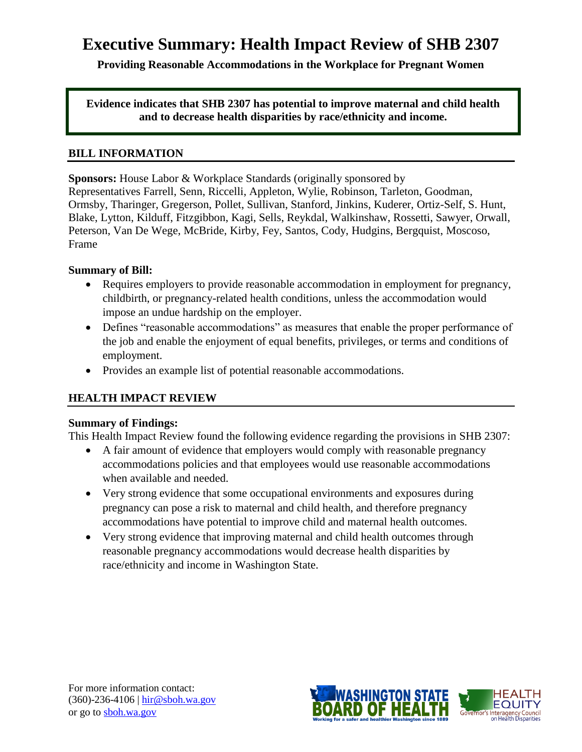# **Executive Summary: Health Impact Review of SHB 2307**

**Providing Reasonable Accommodations in the Workplace for Pregnant Women**

**Evidence indicates that SHB 2307 has potential to improve maternal and child health and to decrease health disparities by race/ethnicity and income.**

#### **BILL INFORMATION**

**Sponsors:** House Labor & Workplace Standards (originally sponsored by Representatives [Farrell,](http://www.leg.wa.gov/house/representatives/pages/default.aspx#farrell) [Senn,](http://www.leg.wa.gov/house/representatives/pages/default.aspx#senn) [Riccelli,](http://www.leg.wa.gov/house/representatives/pages/default.aspx#riccelli) [Appleton,](http://www.leg.wa.gov/house/representatives/pages/default.aspx#appleton) [Wylie,](http://www.leg.wa.gov/house/representatives/pages/default.aspx#wylie) [Robinson,](http://www.leg.wa.gov/house/representatives/pages/default.aspx#robinson) [Tarleton,](http://www.leg.wa.gov/house/representatives/pages/default.aspx#tarleton) [Goodman,](http://www.leg.wa.gov/house/representatives/pages/default.aspx#goodman) [Ormsby,](http://www.leg.wa.gov/house/representatives/pages/default.aspx#ormsby) [Tharinger,](http://www.leg.wa.gov/house/representatives/pages/default.aspx#tharinger) [Gregerson,](http://www.leg.wa.gov/house/representatives/pages/default.aspx#gregerson) [Pollet,](http://www.leg.wa.gov/house/representatives/pages/default.aspx#pollet) [Sullivan,](http://www.leg.wa.gov/house/representatives/pages/default.aspx#sullivan) [Stanford,](http://www.leg.wa.gov/house/representatives/pages/default.aspx#stanford) [Jinkins,](http://www.leg.wa.gov/house/representatives/pages/default.aspx#jinkins) [Kuderer,](http://www.leg.wa.gov/house/representatives/pages/default.aspx#kuderer) [Ortiz-Self,](http://www.leg.wa.gov/house/representatives/pages/default.aspx#ortiz-self) [S. Hunt,](http://www.leg.wa.gov/house/representatives/pages/default.aspx#hunts) [Blake,](http://www.leg.wa.gov/house/representatives/pages/default.aspx#blake) [Lytton,](http://www.leg.wa.gov/house/representatives/pages/default.aspx#lytton) [Kilduff,](http://www.leg.wa.gov/house/representatives/pages/default.aspx#kilduff) [Fitzgibbon,](http://www.leg.wa.gov/house/representatives/pages/default.aspx#fitzgibbon) [Kagi,](http://www.leg.wa.gov/house/representatives/pages/default.aspx#kagi) [Sells,](http://www.leg.wa.gov/house/representatives/pages/default.aspx#sells) [Reykdal,](http://www.leg.wa.gov/house/representatives/pages/default.aspx#reykdal) [Walkinshaw,](http://www.leg.wa.gov/house/representatives/pages/default.aspx#walkinshaw) [Rossetti,](http://www.leg.wa.gov/house/representatives/pages/default.aspx#rossetti) [Sawyer,](http://www.leg.wa.gov/house/representatives/pages/default.aspx#sawyer) [Orwall,](http://www.leg.wa.gov/house/representatives/pages/default.aspx#orwall) [Peterson,](http://www.leg.wa.gov/house/representatives/pages/default.aspx#peterson) [Van De Wege,](http://www.leg.wa.gov/house/representatives/pages/default.aspx#vandewege) [McBride,](http://www.leg.wa.gov/house/representatives/pages/default.aspx#mcbride) [Kirby,](http://www.leg.wa.gov/house/representatives/pages/default.aspx#kirby) [Fey,](http://www.leg.wa.gov/house/representatives/pages/default.aspx#fey) [Santos,](http://www.leg.wa.gov/house/representatives/pages/default.aspx#santos) [Cody,](http://www.leg.wa.gov/house/representatives/pages/default.aspx#cody) [Hudgins,](http://www.leg.wa.gov/house/representatives/pages/default.aspx#hudgins) [Bergquist,](http://www.leg.wa.gov/house/representatives/pages/default.aspx#bergquist) [Moscoso,](http://www.leg.wa.gov/house/representatives/pages/default.aspx#moscoso) [Frame](http://www.leg.wa.gov/house/representatives/pages/default.aspx#frame)

### **Summary of Bill:**

- Requires employers to provide reasonable accommodation in employment for pregnancy, childbirth, or pregnancy-related health conditions, unless the accommodation would impose an undue hardship on the employer.
- Defines "reasonable accommodations" as measures that enable the proper performance of the job and enable the enjoyment of equal benefits, privileges, or terms and conditions of employment.
- Provides an example list of potential reasonable accommodations.

## **HEALTH IMPACT REVIEW**

## **Summary of Findings:**

This Health Impact Review found the following evidence regarding the provisions in SHB 2307:

- A fair amount of evidence that employers would comply with reasonable pregnancy accommodations policies and that employees would use reasonable accommodations when available and needed.
- Very strong evidence that some occupational environments and exposures during pregnancy can pose a risk to maternal and child health, and therefore pregnancy accommodations have potential to improve child and maternal health outcomes.
- Very strong evidence that improving maternal and child health outcomes through reasonable pregnancy accommodations would decrease health disparities by race/ethnicity and income in Washington State.

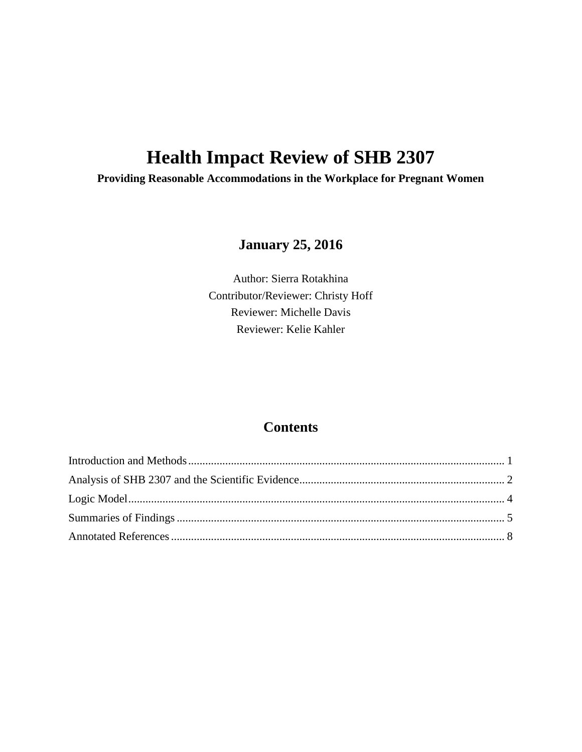# **Health Impact Review of SHB 2307**

**Providing Reasonable Accommodations in the Workplace for Pregnant Women**

## **January 25, 2016**

Author: Sierra Rotakhina Contributor/Reviewer: Christy Hoff Reviewer: Michelle Davis Reviewer: Kelie Kahler

## **Contents**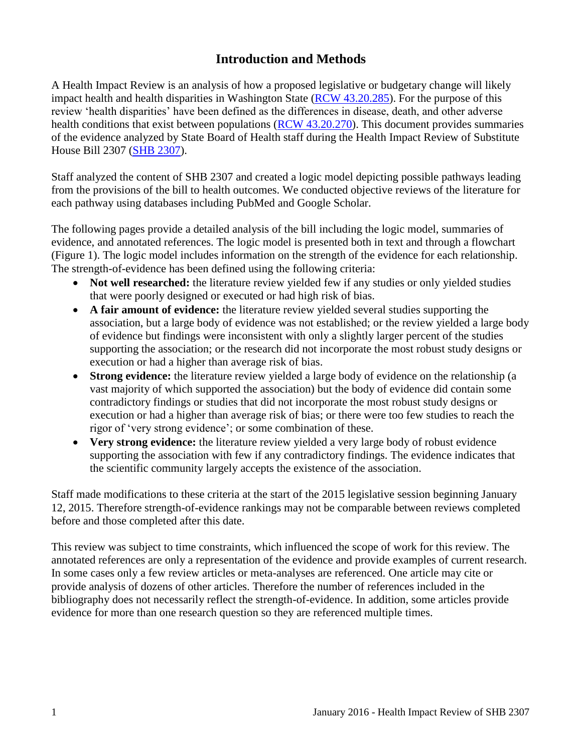## **Introduction and Methods**

<span id="page-2-0"></span>A Health Impact Review is an analysis of how a proposed legislative or budgetary change will likely impact health and health disparities in Washington State [\(RCW 43.20.285\)](http://apps.leg.wa.gov/rcw/default.aspx?cite=43.20.285). For the purpose of this review 'health disparities' have been defined as the differences in disease, death, and other adverse health conditions that exist between populations [\(RCW 43.20.270\)](http://apps.leg.wa.gov/rcw/default.aspx?cite=43.20.270). This document provides summaries of the evidence analyzed by State Board of Health staff during the Health Impact Review of Substitute House Bill 2307 [\(SHB 2307\)](http://lawfilesext.leg.wa.gov/biennium/2015-16/Pdf/Bills/House%20Bills/2307-S.pdf).

Staff analyzed the content of SHB 2307 and created a logic model depicting possible pathways leading from the provisions of the bill to health outcomes. We conducted objective reviews of the literature for each pathway using databases including PubMed and Google Scholar.

The following pages provide a detailed analysis of the bill including the logic model, summaries of evidence, and annotated references. The logic model is presented both in text and through a flowchart (Figure 1). The logic model includes information on the strength of the evidence for each relationship. The strength-of-evidence has been defined using the following criteria:

- Not well researched: the literature review yielded few if any studies or only yielded studies that were poorly designed or executed or had high risk of bias.
- **A fair amount of evidence:** the literature review yielded several studies supporting the association, but a large body of evidence was not established; or the review yielded a large body of evidence but findings were inconsistent with only a slightly larger percent of the studies supporting the association; or the research did not incorporate the most robust study designs or execution or had a higher than average risk of bias.
- **Strong evidence:** the literature review yielded a large body of evidence on the relationship (a vast majority of which supported the association) but the body of evidence did contain some contradictory findings or studies that did not incorporate the most robust study designs or execution or had a higher than average risk of bias; or there were too few studies to reach the rigor of 'very strong evidence'; or some combination of these.
- **Very strong evidence:** the literature review yielded a very large body of robust evidence supporting the association with few if any contradictory findings. The evidence indicates that the scientific community largely accepts the existence of the association.

Staff made modifications to these criteria at the start of the 2015 legislative session beginning January 12, 2015. Therefore strength-of-evidence rankings may not be comparable between reviews completed before and those completed after this date.

This review was subject to time constraints, which influenced the scope of work for this review. The annotated references are only a representation of the evidence and provide examples of current research. In some cases only a few review articles or meta-analyses are referenced. One article may cite or provide analysis of dozens of other articles. Therefore the number of references included in the bibliography does not necessarily reflect the strength-of-evidence. In addition, some articles provide evidence for more than one research question so they are referenced multiple times.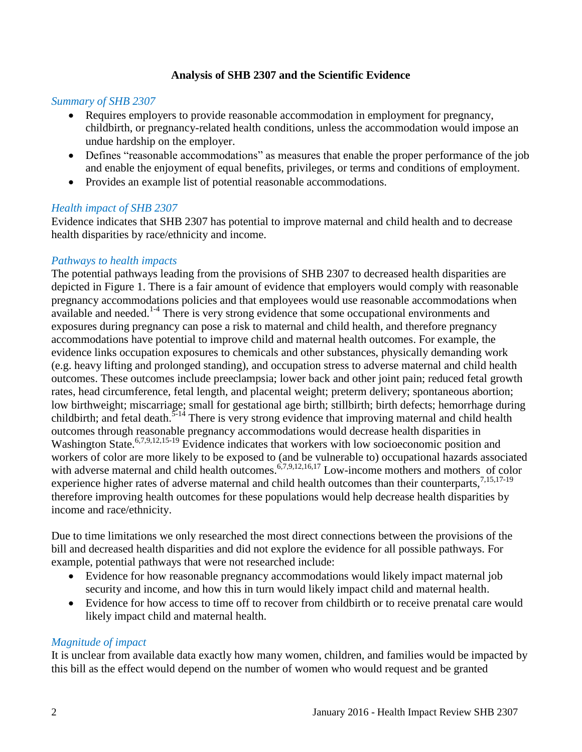## **Analysis of SHB 2307 and the Scientific Evidence**

#### <span id="page-3-0"></span>*Summary of SHB 2307*

- Requires employers to provide reasonable accommodation in employment for pregnancy, childbirth, or pregnancy-related health conditions, unless the accommodation would impose an undue hardship on the employer.
- Defines "reasonable accommodations" as measures that enable the proper performance of the job and enable the enjoyment of equal benefits, privileges, or terms and conditions of employment.
- Provides an example list of potential reasonable accommodations.

### *Health impact of SHB 2307*

Evidence indicates that SHB 2307 has potential to improve maternal and child health and to decrease health disparities by race/ethnicity and income.

## *Pathways to health impacts*

The potential pathways leading from the provisions of SHB 2307 to decreased health disparities are depicted in Figure 1. There is a fair amount of evidence that employers would comply with reasonable pregnancy accommodations policies and that employees would use reasonable accommodations when available and needed. $1-4$  There is very strong evidence that some occupational environments and exposures during pregnancy can pose a risk to maternal and child health, and therefore pregnancy accommodations have potential to improve child and maternal health outcomes. For example, the evidence links occupation exposures to chemicals and other substances, physically demanding work (e.g. heavy lifting and prolonged standing), and occupation stress to adverse maternal and child health outcomes. These outcomes include preeclampsia; lower back and other joint pain; reduced fetal growth rates, head circumference, fetal length, and placental weight; preterm delivery; spontaneous abortion; low birthweight; miscarriage; small for gestational age birth; stillbirth; birth defects; hemorrhage during childbirth; and fetal death.<sup>[5-14](#page-10-0)</sup> There is very strong evidence that improving maternal and child health outcomes through reasonable pregnancy accommodations would decrease health disparities in Washington State.<sup>[6](#page-11-0)[,7](#page-11-1)[,9](#page-12-0)[,12](#page-14-0)[,15-19](#page-15-0)</sup> Evidence indicates that workers with low socioeconomic position and workers of color are more likely to be exposed to (and be vulnerable to) occupational hazards associated with adverse maternal and child health outcomes.<sup>[6,](#page-11-0)[7,](#page-11-1)[9,](#page-12-0)[12,](#page-14-0)[16,](#page-15-1)[17](#page-16-0)</sup> Low-income mothers and mothers of color experience higher rates of adverse maternal and child health outcomes than their counterparts.<sup>[7,](#page-11-1)[15,](#page-15-0)[17-19](#page-16-0)</sup> therefore improving health outcomes for these populations would help decrease health disparities by income and race/ethnicity.

Due to time limitations we only researched the most direct connections between the provisions of the bill and decreased health disparities and did not explore the evidence for all possible pathways. For example, potential pathways that were not researched include:

- Evidence for how reasonable pregnancy accommodations would likely impact maternal job security and income, and how this in turn would likely impact child and maternal health.
- Evidence for how access to time off to recover from childbirth or to receive prenatal care would likely impact child and maternal health.

#### *Magnitude of impact*

It is unclear from available data exactly how many women, children, and families would be impacted by this bill as the effect would depend on the number of women who would request and be granted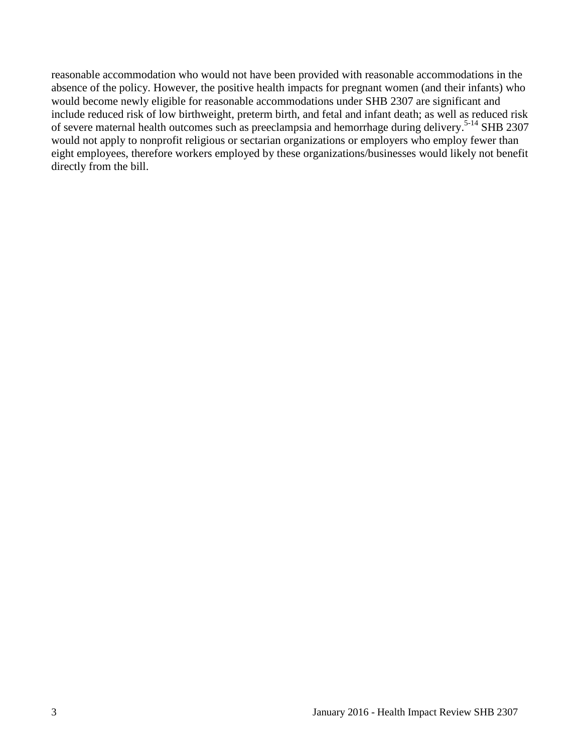reasonable accommodation who would not have been provided with reasonable accommodations in the absence of the policy. However, the positive health impacts for pregnant women (and their infants) who would become newly eligible for reasonable accommodations under SHB 2307 are significant and include reduced risk of low birthweight, preterm birth, and fetal and infant death; as well as reduced risk of severe maternal health outcomes such as preeclampsia and hemorrhage during delivery.<sup>[5-14](#page-10-0)</sup> SHB 2307 would not apply to nonprofit religious or sectarian organizations or employers who employ fewer than eight employees, therefore workers employed by these organizations/businesses would likely not benefit directly from the bill.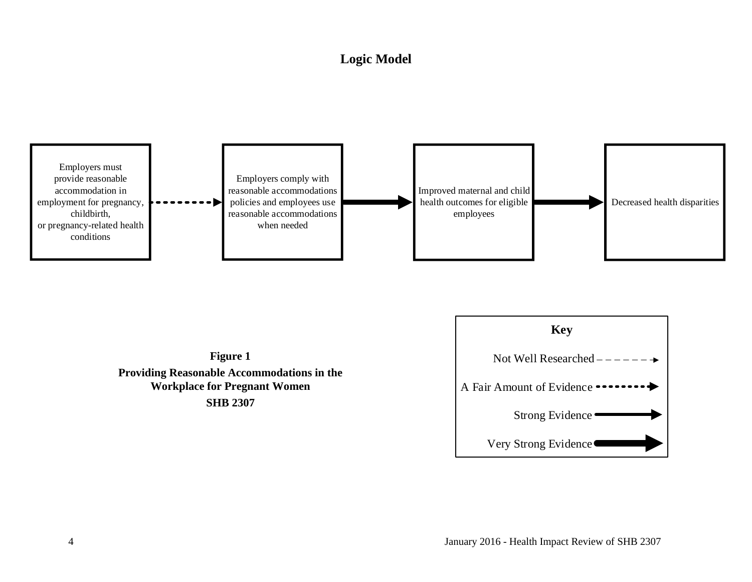## **Logic Model**

<span id="page-5-0"></span>



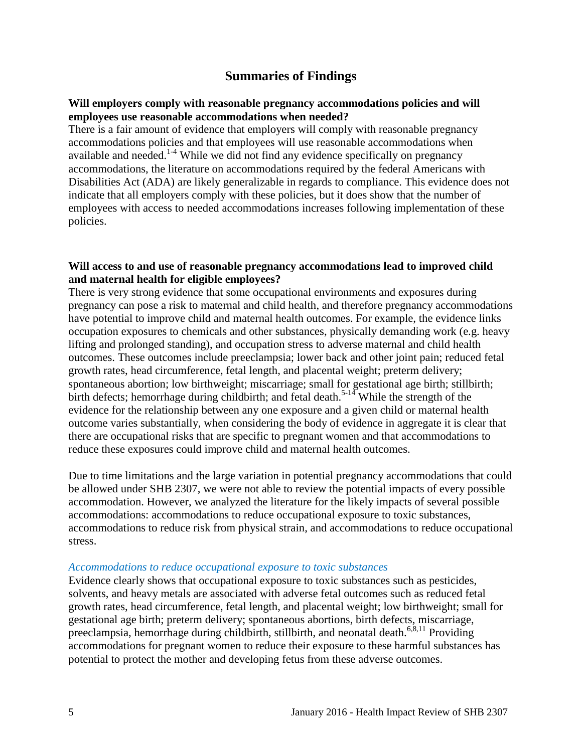## **Summaries of Findings**

#### <span id="page-6-0"></span>**Will employers comply with reasonable pregnancy accommodations policies and will employees use reasonable accommodations when needed?**

There is a fair amount of evidence that employers will comply with reasonable pregnancy accommodations policies and that employees will use reasonable accommodations when available and needed.<sup>[1-4](#page-9-1)</sup> While we did not find any evidence specifically on pregnancy accommodations, the literature on accommodations required by the federal Americans with Disabilities Act (ADA) are likely generalizable in regards to compliance. This evidence does not indicate that all employers comply with these policies, but it does show that the number of employees with access to needed accommodations increases following implementation of these policies.

#### **Will access to and use of reasonable pregnancy accommodations lead to improved child and maternal health for eligible employees?**

There is very strong evidence that some occupational environments and exposures during pregnancy can pose a risk to maternal and child health, and therefore pregnancy accommodations have potential to improve child and maternal health outcomes. For example, the evidence links occupation exposures to chemicals and other substances, physically demanding work (e.g. heavy lifting and prolonged standing), and occupation stress to adverse maternal and child health outcomes. These outcomes include preeclampsia; lower back and other joint pain; reduced fetal growth rates, head circumference, fetal length, and placental weight; preterm delivery; spontaneous abortion; low birthweight; miscarriage; small for gestational age birth; stillbirth; birth defects; hemorrhage during childbirth; and fetal death.<sup>[5-14](#page-10-0)</sup> While the strength of the evidence for the relationship between any one exposure and a given child or maternal health outcome varies substantially, when considering the body of evidence in aggregate it is clear that there are occupational risks that are specific to pregnant women and that accommodations to reduce these exposures could improve child and maternal health outcomes.

Due to time limitations and the large variation in potential pregnancy accommodations that could be allowed under SHB 2307, we were not able to review the potential impacts of every possible accommodation. However, we analyzed the literature for the likely impacts of several possible accommodations: accommodations to reduce occupational exposure to toxic substances, accommodations to reduce risk from physical strain, and accommodations to reduce occupational stress.

#### *Accommodations to reduce occupational exposure to toxic substances*

Evidence clearly shows that occupational exposure to toxic substances such as pesticides, solvents, and heavy metals are associated with adverse fetal outcomes such as reduced fetal growth rates, head circumference, fetal length, and placental weight; low birthweight; small for gestational age birth; preterm delivery; spontaneous abortions, birth defects, miscarriage, preeclampsia, hemorrhage during childbirth, stillbirth, and neonatal death.<sup>[6](#page-11-0)[,8](#page-12-1)[,11](#page-13-0)</sup> Providing accommodations for pregnant women to reduce their exposure to these harmful substances has potential to protect the mother and developing fetus from these adverse outcomes.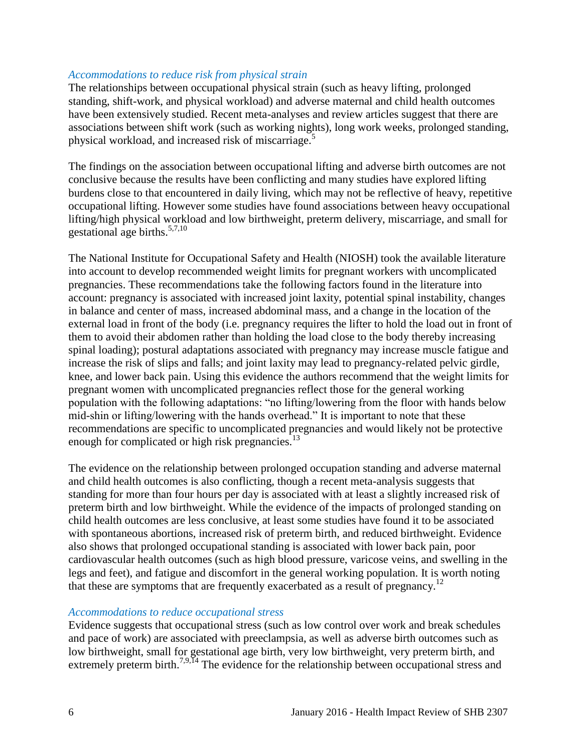#### *Accommodations to reduce risk from physical strain*

The relationships between occupational physical strain (such as heavy lifting, prolonged standing, shift-work, and physical workload) and adverse maternal and child health outcomes have been extensively studied. Recent meta-analyses and review articles suggest that there are associations between shift work (such as working nights), long work weeks, prolonged standing, physical workload, and increased risk of miscarriage.<sup>[5](#page-10-0)</sup>

The findings on the association between occupational lifting and adverse birth outcomes are not conclusive because the results have been conflicting and many studies have explored lifting burdens close to that encountered in daily living, which may not be reflective of heavy, repetitive occupational lifting. However some studies have found associations between heavy occupational lifting/high physical workload and low birthweight, preterm delivery, miscarriage, and small for gestational age births. $5,7,10$  $5,7,10$  $5,7,10$ 

The National Institute for Occupational Safety and Health (NIOSH) took the available literature into account to develop recommended weight limits for pregnant workers with uncomplicated pregnancies. These recommendations take the following factors found in the literature into account: pregnancy is associated with increased joint laxity, potential spinal instability, changes in balance and center of mass, increased abdominal mass, and a change in the location of the external load in front of the body (i.e. pregnancy requires the lifter to hold the load out in front of them to avoid their abdomen rather than holding the load close to the body thereby increasing spinal loading); postural adaptations associated with pregnancy may increase muscle fatigue and increase the risk of slips and falls; and joint laxity may lead to pregnancy-related pelvic girdle, knee, and lower back pain. Using this evidence the authors recommend that the weight limits for pregnant women with uncomplicated pregnancies reflect those for the general working population with the following adaptations: "no lifting/lowering from the floor with hands below mid-shin or lifting/lowering with the hands overhead." It is important to note that these recommendations are specific to uncomplicated pregnancies and would likely not be protective enough for complicated or high risk pregnancies.<sup>[13](#page-14-1)</sup>

The evidence on the relationship between prolonged occupation standing and adverse maternal and child health outcomes is also conflicting, though a recent meta-analysis suggests that standing for more than four hours per day is associated with at least a slightly increased risk of preterm birth and low birthweight. While the evidence of the impacts of prolonged standing on child health outcomes are less conclusive, at least some studies have found it to be associated with spontaneous abortions, increased risk of preterm birth, and reduced birthweight. Evidence also shows that prolonged occupational standing is associated with lower back pain, poor cardiovascular health outcomes (such as high blood pressure, varicose veins, and swelling in the legs and feet), and fatigue and discomfort in the general working population. It is worth noting that these are symptoms that are frequently exacerbated as a result of pregnancy.<sup>[12](#page-14-0)</sup>

#### *Accommodations to reduce occupational stress*

Evidence suggests that occupational stress (such as low control over work and break schedules and pace of work) are associated with preeclampsia, as well as adverse birth outcomes such as low birthweight, small for gestational age birth, very low birthweight, very preterm birth, and extremely preterm birth.<sup>[7,](#page-11-1)[9](#page-12-0)[,14](#page-15-2)</sup> The evidence for the relationship between occupational stress and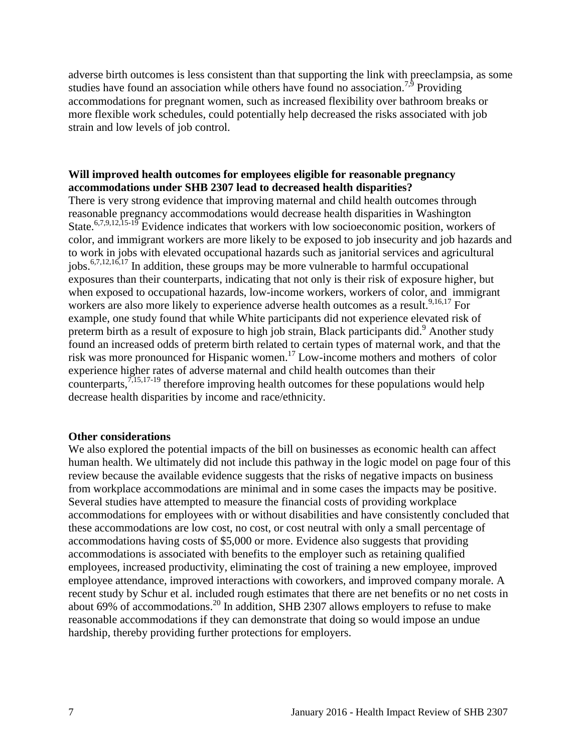adverse birth outcomes is less consistent than that supporting the link with preeclampsia, as some studies have found an association while others have found no association.<sup>[7,](#page-11-1)[9](#page-12-0)</sup> Providing accommodations for pregnant women, such as increased flexibility over bathroom breaks or more flexible work schedules, could potentially help decreased the risks associated with job strain and low levels of job control.

## **Will improved health outcomes for employees eligible for reasonable pregnancy accommodations under SHB 2307 lead to decreased health disparities?**

There is very strong evidence that improving maternal and child health outcomes through reasonable pregnancy accommodations would decrease health disparities in Washington State.<sup>[6](#page-11-0)[,7](#page-11-1)[,9](#page-12-0)[,12](#page-14-0)[,15-19](#page-15-0)</sup> Evidence indicates that workers with low socioeconomic position, workers of color, and immigrant workers are more likely to be exposed to job insecurity and job hazards and to work in jobs with elevated occupational hazards such as janitorial services and agricultural jobs.[6](#page-11-0)[,7](#page-11-1)[,12](#page-14-0)[,16](#page-15-1)[,17](#page-16-0) In addition, these groups may be more vulnerable to harmful occupational exposures than their counterparts, indicating that not only is their risk of exposure higher, but when exposed to occupational hazards, low-income workers, workers of color, and immigrant workers are also more likely to experience adverse health outcomes as a result.<sup>[9,](#page-12-0)[16,](#page-15-1)[17](#page-16-0)</sup> For example, one study found that while White participants did not experience elevated risk of preterm birth as a result of exposure to high job strain, Black participants did.<sup>[9](#page-12-0)</sup> Another study found an increased odds of preterm birth related to certain types of maternal work, and that the risk was more pronounced for Hispanic women. [17](#page-16-0) Low-income mothers and mothers of color experience higher rates of adverse maternal and child health outcomes than their counterparts, $7,15,17-19$  $7,15,17-19$  $7,15,17-19$  therefore improving health outcomes for these populations would help decrease health disparities by income and race/ethnicity.

#### **Other considerations**

We also explored the potential impacts of the bill on businesses as economic health can affect human health. We ultimately did not include this pathway in the logic model on page four of this review because the available evidence suggests that the risks of negative impacts on business from workplace accommodations are minimal and in some cases the impacts may be positive. Several studies have attempted to measure the financial costs of providing workplace accommodations for employees with or without disabilities and have consistently concluded that these accommodations are low cost, no cost, or cost neutral with only a small percentage of accommodations having costs of \$5,000 or more. Evidence also suggests that providing accommodations is associated with benefits to the employer such as retaining qualified employees, increased productivity, eliminating the cost of training a new employee, improved employee attendance, improved interactions with coworkers, and improved company morale. A recent study by Schur et al. included rough estimates that there are net benefits or no net costs in about 69% of accommodations.[20](#page-17-0) In addition, SHB 2307 allows employers to refuse to make reasonable accommodations if they can demonstrate that doing so would impose an undue hardship, thereby providing further protections for employers.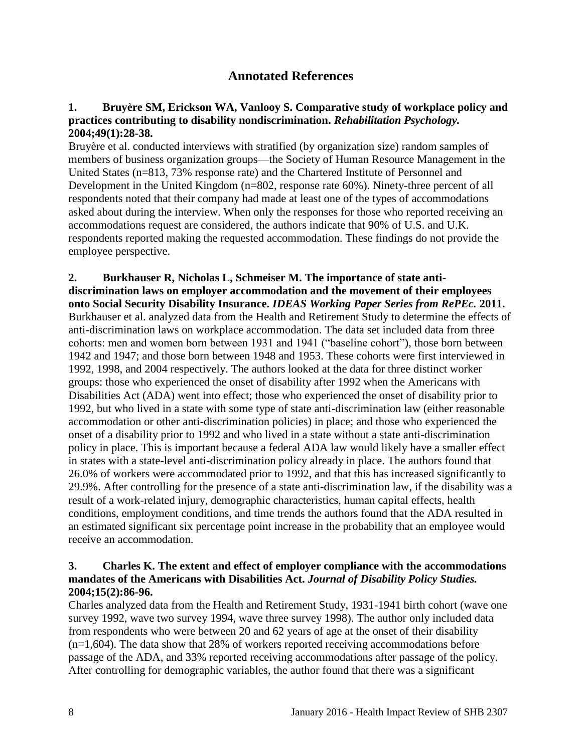## **Annotated References**

### <span id="page-9-1"></span><span id="page-9-0"></span>**1. Bruyère SM, Erickson WA, Vanlooy S. Comparative study of workplace policy and practices contributing to disability nondiscrimination.** *Rehabilitation Psychology.*  **2004;49(1):28-38.**

Bruyère et al. conducted interviews with stratified (by organization size) random samples of members of business organization groups—the Society of Human Resource Management in the United States (n=813, 73% response rate) and the Chartered Institute of Personnel and Development in the United Kingdom (n=802, response rate 60%). Ninety-three percent of all respondents noted that their company had made at least one of the types of accommodations asked about during the interview. When only the responses for those who reported receiving an accommodations request are considered, the authors indicate that 90% of U.S. and U.K. respondents reported making the requested accommodation. These findings do not provide the employee perspective.

**2. Burkhauser R, Nicholas L, Schmeiser M. The importance of state antidiscrimination laws on employer accommodation and the movement of their employees onto Social Security Disability Insurance.** *IDEAS Working Paper Series from RePEc.* **2011.** Burkhauser et al. analyzed data from the Health and Retirement Study to determine the effects of anti-discrimination laws on workplace accommodation. The data set included data from three cohorts: men and women born between 1931 and 1941 ("baseline cohort"), those born between 1942 and 1947; and those born between 1948 and 1953. These cohorts were first interviewed in 1992, 1998, and 2004 respectively. The authors looked at the data for three distinct worker groups: those who experienced the onset of disability after 1992 when the Americans with Disabilities Act (ADA) went into effect; those who experienced the onset of disability prior to 1992, but who lived in a state with some type of state anti-discrimination law (either reasonable accommodation or other anti-discrimination policies) in place; and those who experienced the onset of a disability prior to 1992 and who lived in a state without a state anti-discrimination policy in place. This is important because a federal ADA law would likely have a smaller effect in states with a state-level anti-discrimination policy already in place. The authors found that 26.0% of workers were accommodated prior to 1992, and that this has increased significantly to 29.9%. After controlling for the presence of a state anti-discrimination law, if the disability was a result of a work-related injury, demographic characteristics, human capital effects, health conditions, employment conditions, and time trends the authors found that the ADA resulted in an estimated significant six percentage point increase in the probability that an employee would receive an accommodation.

## **3. Charles K. The extent and effect of employer compliance with the accommodations mandates of the Americans with Disabilities Act.** *Journal of Disability Policy Studies.*  **2004;15(2):86-96.**

Charles analyzed data from the Health and Retirement Study, 1931-1941 birth cohort (wave one survey 1992, wave two survey 1994, wave three survey 1998). The author only included data from respondents who were between 20 and 62 years of age at the onset of their disability  $(n=1,604)$ . The data show that 28% of workers reported receiving accommodations before passage of the ADA, and 33% reported receiving accommodations after passage of the policy. After controlling for demographic variables, the author found that there was a significant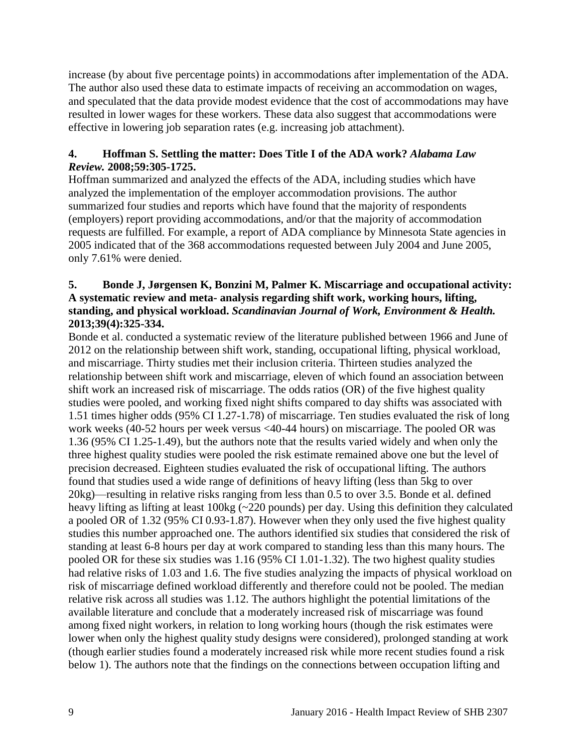increase (by about five percentage points) in accommodations after implementation of the ADA. The author also used these data to estimate impacts of receiving an accommodation on wages, and speculated that the data provide modest evidence that the cost of accommodations may have resulted in lower wages for these workers. These data also suggest that accommodations were effective in lowering job separation rates (e.g. increasing job attachment).

## **4. Hoffman S. Settling the matter: Does Title I of the ADA work?** *Alabama Law Review.* **2008;59:305-1725.**

Hoffman summarized and analyzed the effects of the ADA, including studies which have analyzed the implementation of the employer accommodation provisions. The author summarized four studies and reports which have found that the majority of respondents (employers) report providing accommodations, and/or that the majority of accommodation requests are fulfilled. For example, a report of ADA compliance by Minnesota State agencies in 2005 indicated that of the 368 accommodations requested between July 2004 and June 2005, only 7.61% were denied.

## <span id="page-10-0"></span>**5. Bonde J, Jørgensen K, Bonzini M, Palmer K. Miscarriage and occupational activity: A systematic review and meta- analysis regarding shift work, working hours, lifting, standing, and physical workload.** *Scandinavian Journal of Work, Environment & Health.*  **2013;39(4):325-334.**

Bonde et al. conducted a systematic review of the literature published between 1966 and June of 2012 on the relationship between shift work, standing, occupational lifting, physical workload, and miscarriage. Thirty studies met their inclusion criteria. Thirteen studies analyzed the relationship between shift work and miscarriage, eleven of which found an association between shift work an increased risk of miscarriage. The odds ratios (OR) of the five highest quality studies were pooled, and working fixed night shifts compared to day shifts was associated with 1.51 times higher odds (95% CI 1.27-1.78) of miscarriage. Ten studies evaluated the risk of long work weeks (40-52 hours per week versus <40-44 hours) on miscarriage. The pooled OR was 1.36 (95% CI 1.25-1.49), but the authors note that the results varied widely and when only the three highest quality studies were pooled the risk estimate remained above one but the level of precision decreased. Eighteen studies evaluated the risk of occupational lifting. The authors found that studies used a wide range of definitions of heavy lifting (less than 5kg to over 20kg)—resulting in relative risks ranging from less than 0.5 to over 3.5. Bonde et al. defined heavy lifting as lifting at least 100kg (~220 pounds) per day. Using this definition they calculated a pooled OR of 1.32 (95% CI 0.93-1.87). However when they only used the five highest quality studies this number approached one. The authors identified six studies that considered the risk of standing at least 6-8 hours per day at work compared to standing less than this many hours. The pooled OR for these six studies was 1.16 (95% CI 1.01-1.32). The two highest quality studies had relative risks of 1.03 and 1.6. The five studies analyzing the impacts of physical workload on risk of miscarriage defined workload differently and therefore could not be pooled. The median relative risk across all studies was 1.12. The authors highlight the potential limitations of the available literature and conclude that a moderately increased risk of miscarriage was found among fixed night workers, in relation to long working hours (though the risk estimates were lower when only the highest quality study designs were considered), prolonged standing at work (though earlier studies found a moderately increased risk while more recent studies found a risk below 1). The authors note that the findings on the connections between occupation lifting and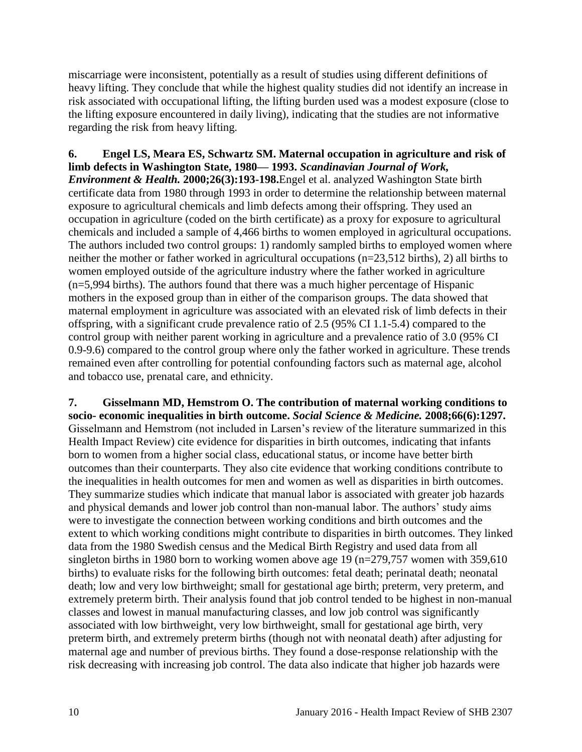miscarriage were inconsistent, potentially as a result of studies using different definitions of heavy lifting. They conclude that while the highest quality studies did not identify an increase in risk associated with occupational lifting, the lifting burden used was a modest exposure (close to the lifting exposure encountered in daily living), indicating that the studies are not informative regarding the risk from heavy lifting.

<span id="page-11-0"></span>**6. Engel LS, Meara ES, Schwartz SM. Maternal occupation in agriculture and risk of limb defects in Washington State, 1980— 1993.** *Scandinavian Journal of Work, Environment & Health.* **2000;26(3):193-198.**Engel et al. analyzed Washington State birth certificate data from 1980 through 1993 in order to determine the relationship between maternal exposure to agricultural chemicals and limb defects among their offspring. They used an occupation in agriculture (coded on the birth certificate) as a proxy for exposure to agricultural chemicals and included a sample of 4,466 births to women employed in agricultural occupations. The authors included two control groups: 1) randomly sampled births to employed women where neither the mother or father worked in agricultural occupations (n=23,512 births), 2) all births to women employed outside of the agriculture industry where the father worked in agriculture (n=5,994 births). The authors found that there was a much higher percentage of Hispanic mothers in the exposed group than in either of the comparison groups. The data showed that maternal employment in agriculture was associated with an elevated risk of limb defects in their offspring, with a significant crude prevalence ratio of 2.5 (95% CI 1.1-5.4) compared to the control group with neither parent working in agriculture and a prevalence ratio of 3.0 (95% CI 0.9-9.6) compared to the control group where only the father worked in agriculture. These trends remained even after controlling for potential confounding factors such as maternal age, alcohol and tobacco use, prenatal care, and ethnicity.

<span id="page-11-1"></span>**7. Gisselmann MD, Hemstrom O. The contribution of maternal working conditions to socio- economic inequalities in birth outcome.** *Social Science & Medicine.* **2008;66(6):1297.** Gisselmann and Hemstrom (not included in Larsen's review of the literature summarized in this Health Impact Review) cite evidence for disparities in birth outcomes, indicating that infants born to women from a higher social class, educational status, or income have better birth outcomes than their counterparts. They also cite evidence that working conditions contribute to the inequalities in health outcomes for men and women as well as disparities in birth outcomes. They summarize studies which indicate that manual labor is associated with greater job hazards and physical demands and lower job control than non-manual labor. The authors' study aims were to investigate the connection between working conditions and birth outcomes and the extent to which working conditions might contribute to disparities in birth outcomes. They linked data from the 1980 Swedish census and the Medical Birth Registry and used data from all singleton births in 1980 born to working women above age 19 ( $n=279,757$  women with 359,610 births) to evaluate risks for the following birth outcomes: fetal death; perinatal death; neonatal death; low and very low birthweight; small for gestational age birth; preterm, very preterm, and extremely preterm birth. Their analysis found that job control tended to be highest in non-manual classes and lowest in manual manufacturing classes, and low job control was significantly associated with low birthweight, very low birthweight, small for gestational age birth, very preterm birth, and extremely preterm births (though not with neonatal death) after adjusting for maternal age and number of previous births. They found a dose-response relationship with the risk decreasing with increasing job control. The data also indicate that higher job hazards were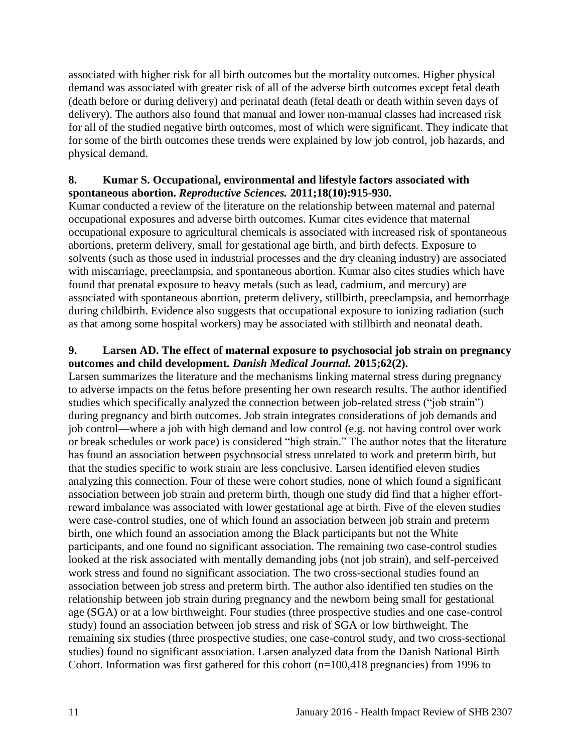associated with higher risk for all birth outcomes but the mortality outcomes. Higher physical demand was associated with greater risk of all of the adverse birth outcomes except fetal death (death before or during delivery) and perinatal death (fetal death or death within seven days of delivery). The authors also found that manual and lower non-manual classes had increased risk for all of the studied negative birth outcomes, most of which were significant. They indicate that for some of the birth outcomes these trends were explained by low job control, job hazards, and physical demand.

## <span id="page-12-1"></span>**8. Kumar S. Occupational, environmental and lifestyle factors associated with spontaneous abortion.** *Reproductive Sciences.* **2011;18(10):915-930.**

Kumar conducted a review of the literature on the relationship between maternal and paternal occupational exposures and adverse birth outcomes. Kumar cites evidence that maternal occupational exposure to agricultural chemicals is associated with increased risk of spontaneous abortions, preterm delivery, small for gestational age birth, and birth defects. Exposure to solvents (such as those used in industrial processes and the dry cleaning industry) are associated with miscarriage, preeclampsia, and spontaneous abortion. Kumar also cites studies which have found that prenatal exposure to heavy metals (such as lead, cadmium, and mercury) are associated with spontaneous abortion, preterm delivery, stillbirth, preeclampsia, and hemorrhage during childbirth. Evidence also suggests that occupational exposure to ionizing radiation (such as that among some hospital workers) may be associated with stillbirth and neonatal death.

## <span id="page-12-0"></span>**9. Larsen AD. The effect of maternal exposure to psychosocial job strain on pregnancy outcomes and child development.** *Danish Medical Journal.* **2015;62(2).**

Larsen summarizes the literature and the mechanisms linking maternal stress during pregnancy to adverse impacts on the fetus before presenting her own research results. The author identified studies which specifically analyzed the connection between job-related stress ("job strain") during pregnancy and birth outcomes. Job strain integrates considerations of job demands and job control—where a job with high demand and low control (e.g. not having control over work or break schedules or work pace) is considered "high strain." The author notes that the literature has found an association between psychosocial stress unrelated to work and preterm birth, but that the studies specific to work strain are less conclusive. Larsen identified eleven studies analyzing this connection. Four of these were cohort studies, none of which found a significant association between job strain and preterm birth, though one study did find that a higher effortreward imbalance was associated with lower gestational age at birth. Five of the eleven studies were case-control studies, one of which found an association between job strain and preterm birth, one which found an association among the Black participants but not the White participants, and one found no significant association. The remaining two case-control studies looked at the risk associated with mentally demanding jobs (not job strain), and self-perceived work stress and found no significant association. The two cross-sectional studies found an association between job stress and preterm birth. The author also identified ten studies on the relationship between job strain during pregnancy and the newborn being small for gestational age (SGA) or at a low birthweight. Four studies (three prospective studies and one case-control study) found an association between job stress and risk of SGA or low birthweight. The remaining six studies (three prospective studies, one case-control study, and two cross-sectional studies) found no significant association. Larsen analyzed data from the Danish National Birth Cohort. Information was first gathered for this cohort (n=100,418 pregnancies) from 1996 to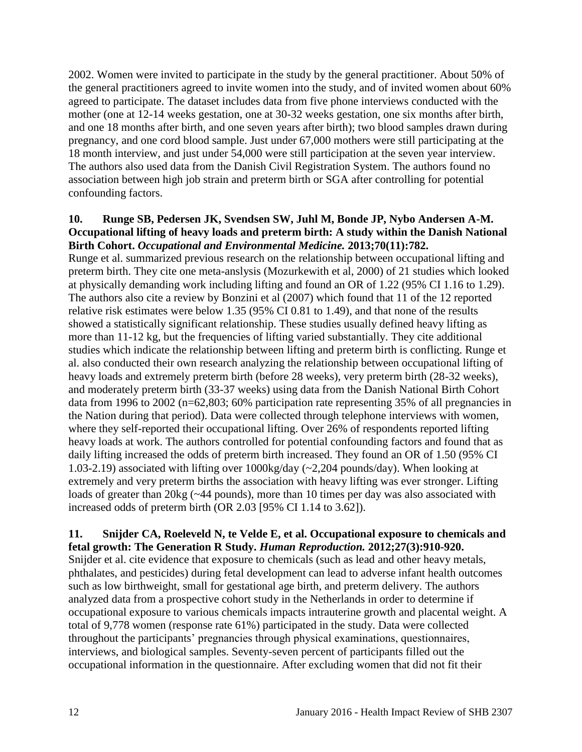2002. Women were invited to participate in the study by the general practitioner. About 50% of the general practitioners agreed to invite women into the study, and of invited women about 60% agreed to participate. The dataset includes data from five phone interviews conducted with the mother (one at 12-14 weeks gestation, one at 30-32 weeks gestation, one six months after birth, and one 18 months after birth, and one seven years after birth); two blood samples drawn during pregnancy, and one cord blood sample. Just under 67,000 mothers were still participating at the 18 month interview, and just under 54,000 were still participation at the seven year interview. The authors also used data from the Danish Civil Registration System. The authors found no association between high job strain and preterm birth or SGA after controlling for potential confounding factors.

#### <span id="page-13-1"></span>**10. Runge SB, Pedersen JK, Svendsen SW, Juhl M, Bonde JP, Nybo Andersen A-M. Occupational lifting of heavy loads and preterm birth: A study within the Danish National Birth Cohort.** *Occupational and Environmental Medicine.* **2013;70(11):782.**

Runge et al. summarized previous research on the relationship between occupational lifting and preterm birth. They cite one meta-anslysis (Mozurkewith et al, 2000) of 21 studies which looked at physically demanding work including lifting and found an OR of 1.22 (95% CI 1.16 to 1.29). The authors also cite a review by Bonzini et al (2007) which found that 11 of the 12 reported relative risk estimates were below 1.35 (95% CI 0.81 to 1.49), and that none of the results showed a statistically significant relationship. These studies usually defined heavy lifting as more than 11-12 kg, but the frequencies of lifting varied substantially. They cite additional studies which indicate the relationship between lifting and preterm birth is conflicting. Runge et al. also conducted their own research analyzing the relationship between occupational lifting of heavy loads and extremely preterm birth (before 28 weeks), very preterm birth (28-32 weeks), and moderately preterm birth (33-37 weeks) using data from the Danish National Birth Cohort data from 1996 to 2002 (n=62,803; 60% participation rate representing 35% of all pregnancies in the Nation during that period). Data were collected through telephone interviews with women, where they self-reported their occupational lifting. Over 26% of respondents reported lifting heavy loads at work. The authors controlled for potential confounding factors and found that as daily lifting increased the odds of preterm birth increased. They found an OR of 1.50 (95% CI 1.03-2.19) associated with lifting over 1000kg/day (~2,204 pounds/day). When looking at extremely and very preterm births the association with heavy lifting was ever stronger. Lifting loads of greater than 20kg (~44 pounds), more than 10 times per day was also associated with increased odds of preterm birth (OR 2.03 [95% CI 1.14 to 3.62]).

#### <span id="page-13-0"></span>**11. Snijder CA, Roeleveld N, te Velde E, et al. Occupational exposure to chemicals and fetal growth: The Generation R Study.** *Human Reproduction.* **2012;27(3):910-920.**

Snijder et al. cite evidence that exposure to chemicals (such as lead and other heavy metals, phthalates, and pesticides) during fetal development can lead to adverse infant health outcomes such as low birthweight, small for gestational age birth, and preterm delivery. The authors analyzed data from a prospective cohort study in the Netherlands in order to determine if occupational exposure to various chemicals impacts intrauterine growth and placental weight. A total of 9,778 women (response rate 61%) participated in the study. Data were collected throughout the participants' pregnancies through physical examinations, questionnaires, interviews, and biological samples. Seventy-seven percent of participants filled out the occupational information in the questionnaire. After excluding women that did not fit their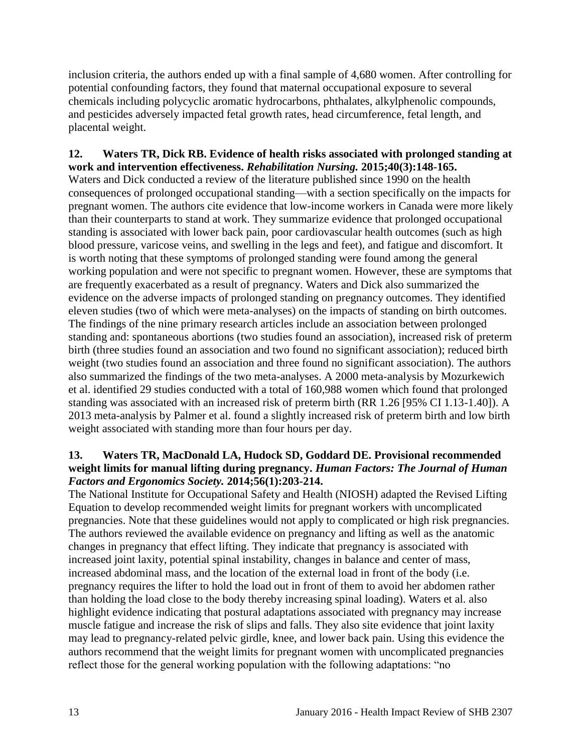inclusion criteria, the authors ended up with a final sample of 4,680 women. After controlling for potential confounding factors, they found that maternal occupational exposure to several chemicals including polycyclic aromatic hydrocarbons, phthalates, alkylphenolic compounds, and pesticides adversely impacted fetal growth rates, head circumference, fetal length, and placental weight.

## <span id="page-14-0"></span>**12. Waters TR, Dick RB. Evidence of health risks associated with prolonged standing at work and intervention effectiveness.** *Rehabilitation Nursing.* **2015;40(3):148-165.**

Waters and Dick conducted a review of the literature published since 1990 on the health consequences of prolonged occupational standing—with a section specifically on the impacts for pregnant women. The authors cite evidence that low-income workers in Canada were more likely than their counterparts to stand at work. They summarize evidence that prolonged occupational standing is associated with lower back pain, poor cardiovascular health outcomes (such as high blood pressure, varicose veins, and swelling in the legs and feet), and fatigue and discomfort. It is worth noting that these symptoms of prolonged standing were found among the general working population and were not specific to pregnant women. However, these are symptoms that are frequently exacerbated as a result of pregnancy. Waters and Dick also summarized the evidence on the adverse impacts of prolonged standing on pregnancy outcomes. They identified eleven studies (two of which were meta-analyses) on the impacts of standing on birth outcomes. The findings of the nine primary research articles include an association between prolonged standing and: spontaneous abortions (two studies found an association), increased risk of preterm birth (three studies found an association and two found no significant association); reduced birth weight (two studies found an association and three found no significant association). The authors also summarized the findings of the two meta-analyses. A 2000 meta-analysis by Mozurkewich et al. identified 29 studies conducted with a total of 160,988 women which found that prolonged standing was associated with an increased risk of preterm birth (RR 1.26 [95% CI 1.13-1.40]). A 2013 meta-analysis by Palmer et al. found a slightly increased risk of preterm birth and low birth weight associated with standing more than four hours per day.

### <span id="page-14-1"></span>**13. Waters TR, MacDonald LA, Hudock SD, Goddard DE. Provisional recommended weight limits for manual lifting during pregnancy.** *Human Factors: The Journal of Human Factors and Ergonomics Society.* **2014;56(1):203-214.**

The National Institute for Occupational Safety and Health (NIOSH) adapted the Revised Lifting Equation to develop recommended weight limits for pregnant workers with uncomplicated pregnancies. Note that these guidelines would not apply to complicated or high risk pregnancies. The authors reviewed the available evidence on pregnancy and lifting as well as the anatomic changes in pregnancy that effect lifting. They indicate that pregnancy is associated with increased joint laxity, potential spinal instability, changes in balance and center of mass, increased abdominal mass, and the location of the external load in front of the body (i.e. pregnancy requires the lifter to hold the load out in front of them to avoid her abdomen rather than holding the load close to the body thereby increasing spinal loading). Waters et al. also highlight evidence indicating that postural adaptations associated with pregnancy may increase muscle fatigue and increase the risk of slips and falls. They also site evidence that joint laxity may lead to pregnancy-related pelvic girdle, knee, and lower back pain. Using this evidence the authors recommend that the weight limits for pregnant women with uncomplicated pregnancies reflect those for the general working population with the following adaptations: "no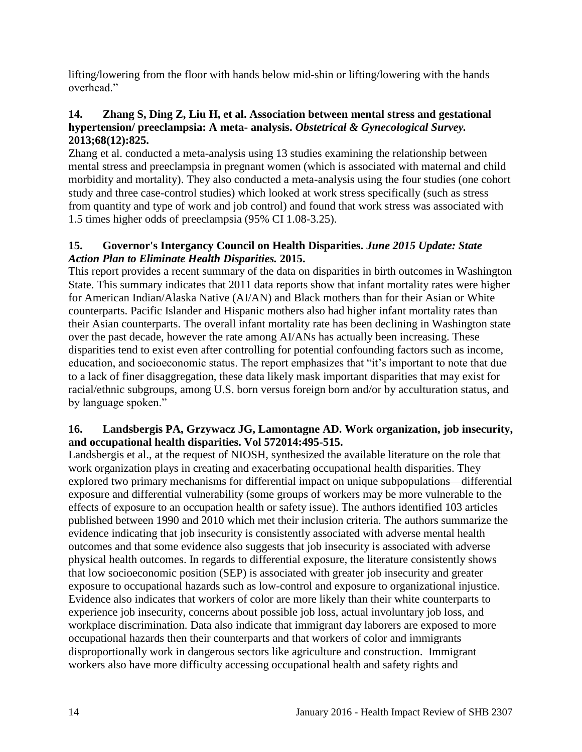lifting/lowering from the floor with hands below mid-shin or lifting/lowering with the hands overhead"

## <span id="page-15-2"></span>**14. Zhang S, Ding Z, Liu H, et al. Association between mental stress and gestational hypertension/ preeclampsia: A meta- analysis.** *Obstetrical & Gynecological Survey.*  **2013;68(12):825.**

Zhang et al. conducted a meta-analysis using 13 studies examining the relationship between mental stress and preeclampsia in pregnant women (which is associated with maternal and child morbidity and mortality). They also conducted a meta-analysis using the four studies (one cohort study and three case-control studies) which looked at work stress specifically (such as stress from quantity and type of work and job control) and found that work stress was associated with 1.5 times higher odds of preeclampsia (95% CI 1.08-3.25).

## <span id="page-15-0"></span>**15. Governor's Intergancy Council on Health Disparities.** *June 2015 Update: State Action Plan to Eliminate Health Disparities.* **2015.**

This report provides a recent summary of the data on disparities in birth outcomes in Washington State. This summary indicates that 2011 data reports show that infant mortality rates were higher for American Indian/Alaska Native (AI/AN) and Black mothers than for their Asian or White counterparts. Pacific Islander and Hispanic mothers also had higher infant mortality rates than their Asian counterparts. The overall infant mortality rate has been declining in Washington state over the past decade, however the rate among AI/ANs has actually been increasing. These disparities tend to exist even after controlling for potential confounding factors such as income, education, and socioeconomic status. The report emphasizes that "it's important to note that due to a lack of finer disaggregation, these data likely mask important disparities that may exist for racial/ethnic subgroups, among U.S. born versus foreign born and/or by acculturation status, and by language spoken."

## <span id="page-15-1"></span>**16. Landsbergis PA, Grzywacz JG, Lamontagne AD. Work organization, job insecurity, and occupational health disparities. Vol 572014:495-515.**

Landsbergis et al., at the request of NIOSH, synthesized the available literature on the role that work organization plays in creating and exacerbating occupational health disparities. They explored two primary mechanisms for differential impact on unique subpopulations—differential exposure and differential vulnerability (some groups of workers may be more vulnerable to the effects of exposure to an occupation health or safety issue). The authors identified 103 articles published between 1990 and 2010 which met their inclusion criteria. The authors summarize the evidence indicating that job insecurity is consistently associated with adverse mental health outcomes and that some evidence also suggests that job insecurity is associated with adverse physical health outcomes. In regards to differential exposure, the literature consistently shows that low socioeconomic position (SEP) is associated with greater job insecurity and greater exposure to occupational hazards such as low-control and exposure to organizational injustice. Evidence also indicates that workers of color are more likely than their white counterparts to experience job insecurity, concerns about possible job loss, actual involuntary job loss, and workplace discrimination. Data also indicate that immigrant day laborers are exposed to more occupational hazards then their counterparts and that workers of color and immigrants disproportionally work in dangerous sectors like agriculture and construction. Immigrant workers also have more difficulty accessing occupational health and safety rights and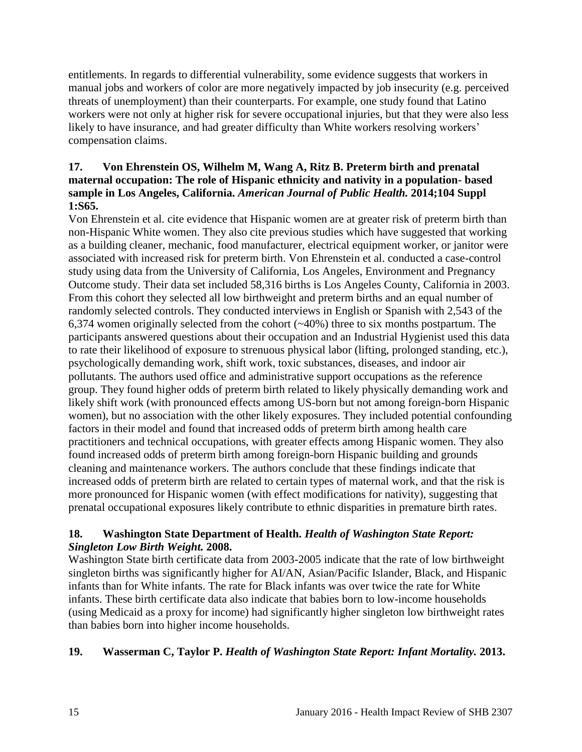entitlements. In regards to differential vulnerability, some evidence suggests that workers in manual jobs and workers of color are more negatively impacted by job insecurity (e.g. perceived threats of unemployment) than their counterparts. For example, one study found that Latino workers were not only at higher risk for severe occupational injuries, but that they were also less likely to have insurance, and had greater difficulty than White workers resolving workers' compensation claims.

## <span id="page-16-0"></span>**17. Von Ehrenstein OS, Wilhelm M, Wang A, Ritz B. Preterm birth and prenatal maternal occupation: The role of Hispanic ethnicity and nativity in a population- based sample in Los Angeles, California.** *American Journal of Public Health.* **2014;104 Suppl 1:S65.**

Von Ehrenstein et al. cite evidence that Hispanic women are at greater risk of preterm birth than non-Hispanic White women. They also cite previous studies which have suggested that working as a building cleaner, mechanic, food manufacturer, electrical equipment worker, or janitor were associated with increased risk for preterm birth. Von Ehrenstein et al. conducted a case-control study using data from the University of California, Los Angeles, Environment and Pregnancy Outcome study. Their data set included 58,316 births is Los Angeles County, California in 2003. From this cohort they selected all low birthweight and preterm births and an equal number of randomly selected controls. They conducted interviews in English or Spanish with 2,543 of the 6,374 women originally selected from the cohort  $(\sim 40\%)$  three to six months postpartum. The participants answered questions about their occupation and an Industrial Hygienist used this data to rate their likelihood of exposure to strenuous physical labor (lifting, prolonged standing, etc.), psychologically demanding work, shift work, toxic substances, diseases, and indoor air pollutants. The authors used office and administrative support occupations as the reference group. They found higher odds of preterm birth related to likely physically demanding work and likely shift work (with pronounced effects among US-born but not among foreign-born Hispanic women), but no association with the other likely exposures. They included potential confounding factors in their model and found that increased odds of preterm birth among health care practitioners and technical occupations, with greater effects among Hispanic women. They also found increased odds of preterm birth among foreign-born Hispanic building and grounds cleaning and maintenance workers. The authors conclude that these findings indicate that increased odds of preterm birth are related to certain types of maternal work, and that the risk is more pronounced for Hispanic women (with effect modifications for nativity), suggesting that prenatal occupational exposures likely contribute to ethnic disparities in premature birth rates.

## **18. Washington State Department of Health.** *Health of Washington State Report: Singleton Low Birth Weight.* **2008.**

Washington State birth certificate data from 2003-2005 indicate that the rate of low birthweight singleton births was significantly higher for AI/AN, Asian/Pacific Islander, Black, and Hispanic infants than for White infants. The rate for Black infants was over twice the rate for White infants. These birth certificate data also indicate that babies born to low-income households (using Medicaid as a proxy for income) had significantly higher singleton low birthweight rates than babies born into higher income households.

## **19. Wasserman C, Taylor P.** *Health of Washington State Report: Infant Mortality.* **2013.**